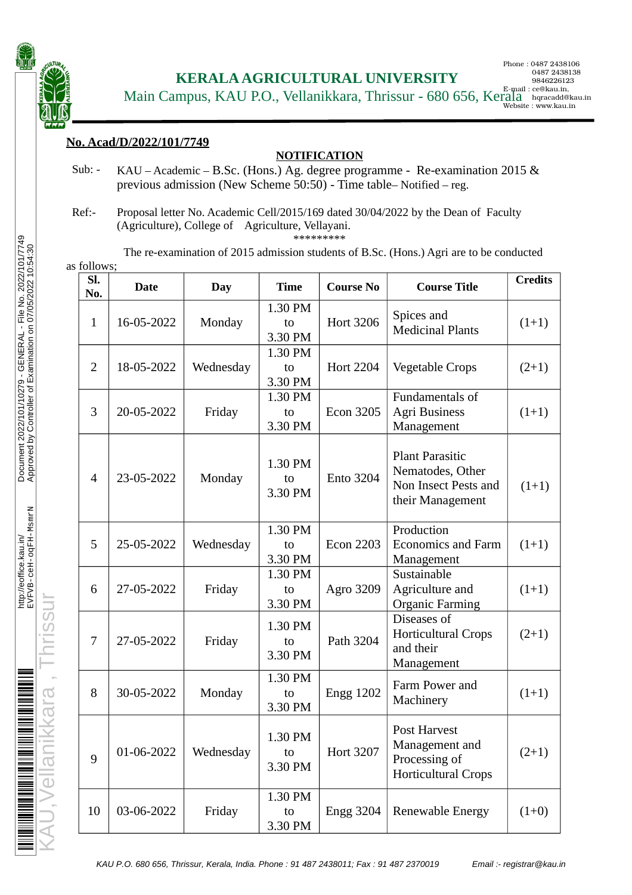

 **KERALA AGRICULTURAL UNIVERSITY**

Phone : 0487 2438106 0487 2438138 9846226123 Website : www.kau.in

Main Campus, KAU P.O., Vellanikkara, Thrissur - 680 656, Kerala hqracadd@kau.in.

## **No. Acad/D/2022/101/7749**

## **NOTIFICATION**

- Sub: KAU Academic B.Sc. (Hons.) Ag. degree programme Re-examination 2015 & previous admission (New Scheme 50:50) - Time table– Notified – reg.
- Ref:- Proposal letter No. Academic Cell/2015/169 dated 30/04/2022 by the Dean of Faculty (Agriculture), College of Agriculture, Vellayani.

\*\*\*\*\*\*\*\*\*

The re-examination of 2015 admission students of B.Sc. (Hons.) Agri are to be conducted as follows;

| SI.<br>No.     | <b>Date</b> | <b>Day</b> | <b>Time</b>              | <b>Course No</b> | <b>Course Title</b>                                                                    | <b>Credits</b> |
|----------------|-------------|------------|--------------------------|------------------|----------------------------------------------------------------------------------------|----------------|
| $\mathbf{1}$   | 16-05-2022  | Monday     | 1.30 PM<br>to<br>3.30 PM | <b>Hort 3206</b> | Spices and<br><b>Medicinal Plants</b>                                                  | $(1+1)$        |
| $\overline{2}$ | 18-05-2022  | Wednesday  | 1.30 PM<br>to<br>3.30 PM | <b>Hort 2204</b> | Vegetable Crops                                                                        | $(2+1)$        |
| 3              | 20-05-2022  | Friday     | 1.30 PM<br>to<br>3.30 PM | <b>Econ 3205</b> | Fundamentals of<br><b>Agri Business</b><br>Management                                  | $(1+1)$        |
| 4              | 23-05-2022  | Monday     | 1.30 PM<br>to<br>3.30 PM | <b>Ento 3204</b> | <b>Plant Parasitic</b><br>Nematodes, Other<br>Non Insect Pests and<br>their Management | $(1+1)$        |
| 5              | 25-05-2022  | Wednesday  | 1.30 PM<br>to<br>3.30 PM | <b>Econ 2203</b> | Production<br><b>Economics and Farm</b><br>Management                                  | $(1+1)$        |
| 6              | 27-05-2022  | Friday     | 1.30 PM<br>to<br>3.30 PM | <b>Agro 3209</b> | Sustainable<br>Agriculture and<br><b>Organic Farming</b>                               | $(1+1)$        |
| 7              | 27-05-2022  | Friday     | 1.30 PM<br>to<br>3.30 PM | Path 3204        | Diseases of<br><b>Horticultural Crops</b><br>and their<br>Management                   | $(2+1)$        |
| 8              | 30-05-2022  | Monday     | 1.30 PM<br>to<br>3.30 PM | <b>Engg 1202</b> | Farm Power and<br>Machinery                                                            | $(1+1)$        |
| 9              | 01-06-2022  | Wednesday  | 1.30 PM<br>to<br>3.30 PM | <b>Hort 3207</b> | Post Harvest<br>Management and<br>Processing of<br><b>Horticultural Crops</b>          | $(2+1)$        |
| 10             | 03-06-2022  | Friday     | 1.30 PM<br>to<br>3.30 PM | <b>Engg 3204</b> | Renewable Energy                                                                       | $(1+0)$        |

KAU,Vellanikkara , Thrissur

KAU P.O. 680 656, Thrissur, Kerala, India. Phone : 91 487 2438011; Fax : 91 487 2370019 Email :- registrar@kau.in